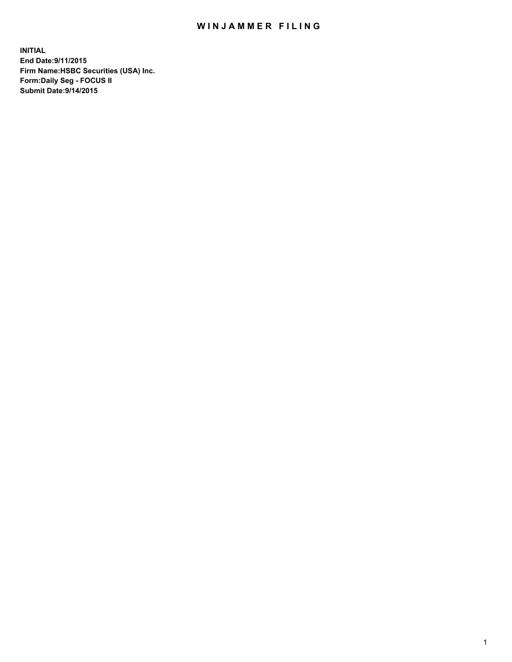## WIN JAMMER FILING

**INITIAL End Date:9/11/2015 Firm Name:HSBC Securities (USA) Inc. Form:Daily Seg - FOCUS II Submit Date:9/14/2015**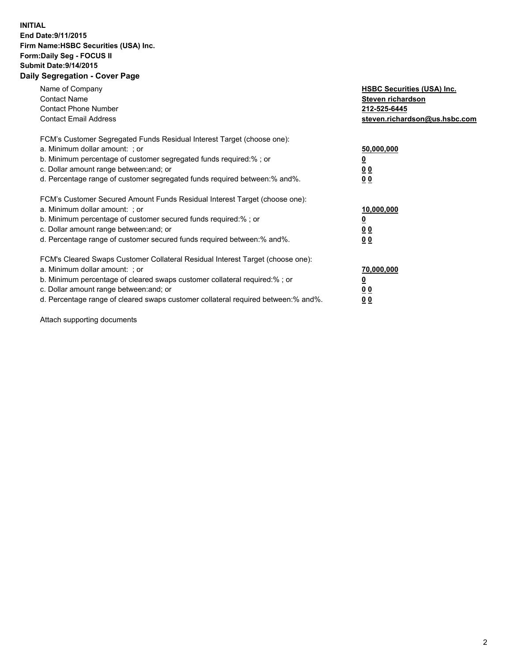## **INITIAL End Date:9/11/2015 Firm Name:HSBC Securities (USA) Inc. Form:Daily Seg - FOCUS II Submit Date:9/14/2015 Daily Segregation - Cover Page**

| Name of Company<br><b>Contact Name</b><br><b>Contact Phone Number</b><br><b>Contact Email Address</b>                                                                                                                                                                                                                          | <b>HSBC Securities (USA) Inc.</b><br>Steven richardson<br>212-525-6445<br>steven.richardson@us.hsbc.com |
|--------------------------------------------------------------------------------------------------------------------------------------------------------------------------------------------------------------------------------------------------------------------------------------------------------------------------------|---------------------------------------------------------------------------------------------------------|
| FCM's Customer Segregated Funds Residual Interest Target (choose one):<br>a. Minimum dollar amount: ; or<br>b. Minimum percentage of customer segregated funds required:%; or<br>c. Dollar amount range between: and; or<br>d. Percentage range of customer segregated funds required between: % and %.                        | 50,000,000<br>0 <sub>0</sub><br>0 <sub>0</sub>                                                          |
| FCM's Customer Secured Amount Funds Residual Interest Target (choose one):<br>a. Minimum dollar amount: ; or<br>b. Minimum percentage of customer secured funds required:%; or<br>c. Dollar amount range between: and; or<br>d. Percentage range of customer secured funds required between:% and%.                            | 10,000,000<br><u>0</u><br>0 <sub>0</sub><br>0 <sub>0</sub>                                              |
| FCM's Cleared Swaps Customer Collateral Residual Interest Target (choose one):<br>a. Minimum dollar amount: ; or<br>b. Minimum percentage of cleared swaps customer collateral required:% ; or<br>c. Dollar amount range between: and; or<br>d. Percentage range of cleared swaps customer collateral required between:% and%. | 70,000,000<br>00<br><u>00</u>                                                                           |

Attach supporting documents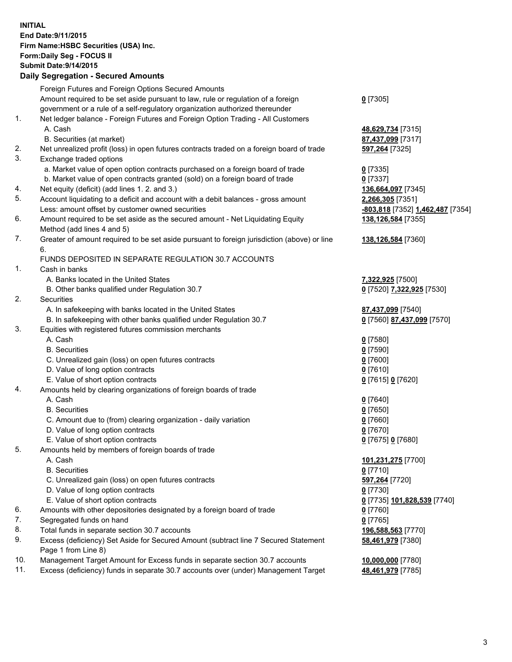**INITIAL End Date:9/11/2015 Firm Name:HSBC Securities (USA) Inc. Form:Daily Seg - FOCUS II Submit Date:9/14/2015 Daily Segregation - Secured Amounts**

Foreign Futures and Foreign Options Secured Amounts Amount required to be set aside pursuant to law, rule or regulation of a foreign government or a rule of a self-regulatory organization authorized thereunder **0** [7305] 1. Net ledger balance - Foreign Futures and Foreign Option Trading - All Customers A. Cash **48,629,734** [7315] B. Securities (at market) **87,437,099** [7317] 2. Net unrealized profit (loss) in open futures contracts traded on a foreign board of trade **597,264** [7325] 3. Exchange traded options a. Market value of open option contracts purchased on a foreign board of trade **0** [7335] b. Market value of open contracts granted (sold) on a foreign board of trade **0** [7337] 4. Net equity (deficit) (add lines 1. 2. and 3.) **136,664,097** [7345] 5. Account liquidating to a deficit and account with a debit balances - gross amount **2,266,305** [7351] Less: amount offset by customer owned securities **-803,818** [7352] **1,462,487** [7354] 6. Amount required to be set aside as the secured amount - Net Liquidating Equity Method (add lines 4 and 5) **138,126,584** [7355] 7. Greater of amount required to be set aside pursuant to foreign jurisdiction (above) or line 6. **138,126,584** [7360] FUNDS DEPOSITED IN SEPARATE REGULATION 30.7 ACCOUNTS 1. Cash in banks A. Banks located in the United States **7,322,925** [7500] B. Other banks qualified under Regulation 30.7 **0** [7520] **7,322,925** [7530] 2. Securities A. In safekeeping with banks located in the United States **87,437,099** [7540] B. In safekeeping with other banks qualified under Regulation 30.7 **0** [7560] **87,437,099** [7570] 3. Equities with registered futures commission merchants A. Cash **0** [7580] B. Securities **0** [7590] C. Unrealized gain (loss) on open futures contracts **0** [7600] D. Value of long option contracts **0** [7610] E. Value of short option contracts **0** [7615] **0** [7620] 4. Amounts held by clearing organizations of foreign boards of trade A. Cash **0** [7640] B. Securities **0** [7650] C. Amount due to (from) clearing organization - daily variation **0** [7660] D. Value of long option contracts **0** [7670] E. Value of short option contracts **0** [7675] **0** [7680] 5. Amounts held by members of foreign boards of trade A. Cash **101,231,275** [7700] B. Securities **0** [7710] C. Unrealized gain (loss) on open futures contracts **597,264** [7720] D. Value of long option contracts **0** [7730] E. Value of short option contracts **0** [7735] **101,828,539** [7740] 6. Amounts with other depositories designated by a foreign board of trade **0** [7760] 7. Segregated funds on hand **0** [7765] 8. Total funds in separate section 30.7 accounts **196,588,563** [7770] 9. Excess (deficiency) Set Aside for Secured Amount (subtract line 7 Secured Statement Page 1 from Line 8) **58,461,979** [7380] 10. Management Target Amount for Excess funds in separate section 30.7 accounts **10,000,000** [7780] 11. Excess (deficiency) funds in separate 30.7 accounts over (under) Management Target **48,461,979** [7785]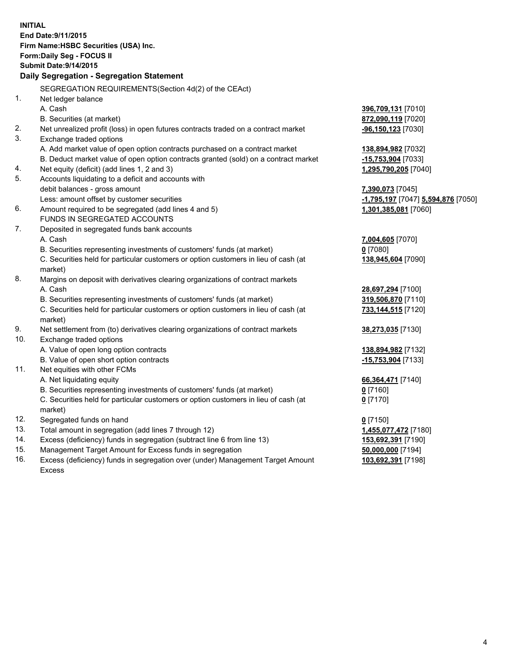| <b>INITIAL</b>                            |                                                                                     |                                    |  |  |  |
|-------------------------------------------|-------------------------------------------------------------------------------------|------------------------------------|--|--|--|
| End Date: 9/11/2015                       |                                                                                     |                                    |  |  |  |
| Firm Name: HSBC Securities (USA) Inc.     |                                                                                     |                                    |  |  |  |
| Form: Daily Seg - FOCUS II                |                                                                                     |                                    |  |  |  |
| <b>Submit Date: 9/14/2015</b>             |                                                                                     |                                    |  |  |  |
| Daily Segregation - Segregation Statement |                                                                                     |                                    |  |  |  |
|                                           | SEGREGATION REQUIREMENTS(Section 4d(2) of the CEAct)                                |                                    |  |  |  |
| 1.                                        | Net ledger balance                                                                  |                                    |  |  |  |
|                                           | A. Cash                                                                             | 396,709,131 [7010]                 |  |  |  |
|                                           | B. Securities (at market)                                                           | 872,090,119 [7020]                 |  |  |  |
| 2.                                        | Net unrealized profit (loss) in open futures contracts traded on a contract market  | -96,150,123 [7030]                 |  |  |  |
| 3.                                        | Exchange traded options                                                             |                                    |  |  |  |
|                                           | A. Add market value of open option contracts purchased on a contract market         | 138,894,982 [7032]                 |  |  |  |
|                                           | B. Deduct market value of open option contracts granted (sold) on a contract market | -15,753,904 [7033]                 |  |  |  |
| 4.                                        | Net equity (deficit) (add lines 1, 2 and 3)                                         | 1,295,790,205 [7040]               |  |  |  |
| 5.                                        | Accounts liquidating to a deficit and accounts with                                 |                                    |  |  |  |
|                                           | debit balances - gross amount                                                       | 7,390,073 [7045]                   |  |  |  |
|                                           | Less: amount offset by customer securities                                          | -1,795,197 [7047] 5,594,876 [7050] |  |  |  |
| 6.                                        | Amount required to be segregated (add lines 4 and 5)                                | 1,301,385,081 [7060]               |  |  |  |
|                                           | FUNDS IN SEGREGATED ACCOUNTS                                                        |                                    |  |  |  |
| 7.                                        | Deposited in segregated funds bank accounts                                         |                                    |  |  |  |
|                                           | A. Cash                                                                             | 7,004,605 [7070]                   |  |  |  |
|                                           | B. Securities representing investments of customers' funds (at market)              | $0$ [7080]                         |  |  |  |
|                                           | C. Securities held for particular customers or option customers in lieu of cash (at | 138,945,604 [7090]                 |  |  |  |
|                                           | market)                                                                             |                                    |  |  |  |
| 8.                                        | Margins on deposit with derivatives clearing organizations of contract markets      |                                    |  |  |  |
|                                           | A. Cash                                                                             | 28,697,294 [7100]                  |  |  |  |
|                                           | B. Securities representing investments of customers' funds (at market)              | 319,506,870 [7110]                 |  |  |  |
|                                           | C. Securities held for particular customers or option customers in lieu of cash (at | 733,144,515 [7120]                 |  |  |  |
|                                           | market)                                                                             |                                    |  |  |  |
| 9.                                        | Net settlement from (to) derivatives clearing organizations of contract markets     | 38,273,035 [7130]                  |  |  |  |
| 10.                                       | Exchange traded options                                                             |                                    |  |  |  |
|                                           | A. Value of open long option contracts                                              | 138,894,982 [7132]                 |  |  |  |
|                                           | B. Value of open short option contracts                                             | -15,753,904 [7133]                 |  |  |  |
| 11.                                       | Net equities with other FCMs                                                        |                                    |  |  |  |
|                                           | A. Net liquidating equity                                                           | 66,364,471 [7140]                  |  |  |  |
|                                           | B. Securities representing investments of customers' funds (at market)              | 0 [7160]                           |  |  |  |
|                                           | C. Securities held for particular customers or option customers in lieu of cash (at | $0$ [7170]                         |  |  |  |
|                                           | market)                                                                             |                                    |  |  |  |
| 12.                                       | Segregated funds on hand                                                            | $0$ [7150]                         |  |  |  |
| 13.                                       | Total amount in segregation (add lines 7 through 12)                                | 1,455,077,472 [7180]               |  |  |  |
| 14.                                       | Excess (deficiency) funds in segregation (subtract line 6 from line 13)             | 153,692,391 [7190]                 |  |  |  |
| 15.                                       | Management Target Amount for Excess funds in segregation                            | 50,000,000 [7194]                  |  |  |  |
| 16.                                       | Excess (deficiency) funds in segregation over (under) Management Target Amount      | 103,692,391 [7198]                 |  |  |  |

16. Excess (deficiency) funds in segregation over (under) Management Target Amount Excess